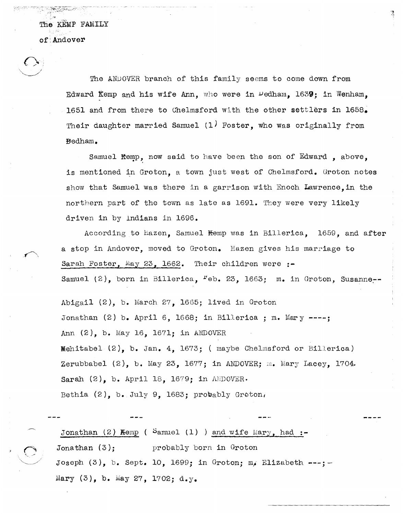The KEMP FAMILY of Andover

 $\langle \rangle$  $\bigcup_{i=1}^n$ 

 $\mathcal{F}$ .

The ANDOVER branch of this family seems to come down from Edward Kemp and his wife Ann, who were in  $\nu$ edham, 1639; in Wenham. 1651 and from there to Chelmsford with the other settlers in 1658. Their daughter married Samuel (1) Foster, who was originally from Bedham.

Samuel Kemp, now said to have been the son of Edward, above, is mentioned in Groton, a town just west of Chelmsford. Groton notes show that Samuel Was there in a garrison with Enoch Lawrence,in the northern part of the town as late as 1691. They were very likely driven in by indians in 1696.

According to Hazen. Samuel Kemp was in Billerica. 1659. and after a stop in Andover, moved to Groton. Hazen gives his marriage to Sarah Foster, May 23, 1662. Their children were **:-** Samuel (2), born in Billerica,  $F$ eb. 23, 1663; m. in Groton, Susanne<sub>;-</sub>

Abigail (2), b. March 27, 1665; lived in Groton Jonathan (2) b. April 6, 1668; in Billerica ; m. Mary ----; Ann (2), b. May 16, 1671; in ANDOVER Mehitabel (2), b. Jan. 4, 1673; ( maybe Chelmsford or Billerica) Zerubbabel  $(2)$ , b. May 23, 1677; in ANDOVER; m. Mary Lacey, 1704. Sarah  $(2)$ , b. April 18, 1679; in ANDOVER. Bethia  $(2)$ , b. July 9, 1683; probably Groton,

Jonathan  $(2)$  Kemp ( Samuel  $(1)$  ) and wife Mary, had :-Jonathan (3): probably born in Groton Joseph  $(3)$ , b. Sept. 10, 1699; in Groton; m/ Elizabeth ---; - $Mary (3)$ , b.  $May 27$ , 1702; d. y.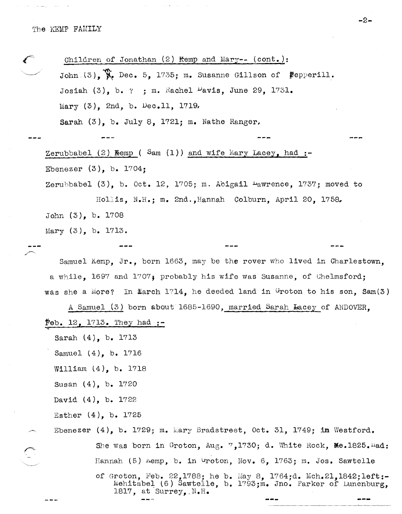international program

— — *—* 

| Children of Jonathan (2) Kemp and Mary-- (cont.):                                                                                                               |
|-----------------------------------------------------------------------------------------------------------------------------------------------------------------|
| John (3), $\mathcal{W}_e$ Dec. 5, 1735; m. Susanne Gillson of Pepperill.                                                                                        |
| Josiah $(3)$ , b. ? ; m. Rachel $\nu$ avis, June 29, 1731.                                                                                                      |
| Mary $(3)$ , 2nd, b. Dec.11, 1719.                                                                                                                              |
| Sarah $(3)$ , b. July 8, 1721; m. Nathe Ranger.                                                                                                                 |
|                                                                                                                                                                 |
| Zerubbabel $(2)$ Kemp (Sam $(1)$ ) and wife Mary Lacey, had :-                                                                                                  |
| Ebenezer $(3)$ , b. 1704;                                                                                                                                       |
| Zerubbabel $(3)$ , b. Oct. 12, 1705; m. Abigail $\frac{1}{2}$ awrence, 1737; moved to                                                                           |
| Hollis, N.H.; m. 2nd., Hannah Colburn, April 20, 1758.                                                                                                          |
| John $(3)$ , b. 1708                                                                                                                                            |
| Mary $(3)$ , b. 1713.                                                                                                                                           |
|                                                                                                                                                                 |
| Samuel Kemp, Jr., born 1663, may be the rover who lived in Charlestown,                                                                                         |
| a while, 1697 and 1707; probably his wife was Susanne, of Chelmsford;                                                                                           |
| was she a More? In March $1714$ , he deeded land in Groton to his son, Sam(3)                                                                                   |
| A Samuel (3) born about 1685-1690, married Sarah Lacey of ANDOVER,                                                                                              |
| Feb. $12, 1713.$ They had $:-$                                                                                                                                  |
| Sarah $(4)$ , b. 1713                                                                                                                                           |
| Samuel (4), b. 1716                                                                                                                                             |
| William $(4)$ , b. 1718                                                                                                                                         |
| Susan $(4)$ , b. 1720                                                                                                                                           |
| David $(4)$ , b. 1722                                                                                                                                           |
| Esther $(4)$ , b. 1725                                                                                                                                          |
| Ebenezer (4), b. 1729; m. Mary Bradstreet, Oct. 31, 1749; in Westford.                                                                                          |
| She was born in Groton, Aug. 7,1730; d. White Rock, Me.1825.Had:                                                                                                |
| Hannah (5) Aemp, b. in Groton, Nov. 6, 1763; m. Jos. Sawtelle                                                                                                   |
| of Groton, Feb. 22,1788; he b. May 8, 1764;d. Mch. 21, 1842; left:-<br>Mehitabel (6) Sawtelle, b. 1793; m. Jno. Parker of Lunenburg,<br>1817, at Surrey, $N.H.$ |

 $\tau \rightarrow \infty$ 

 $-2-$ 

 $\frac{1}{2}$ 

---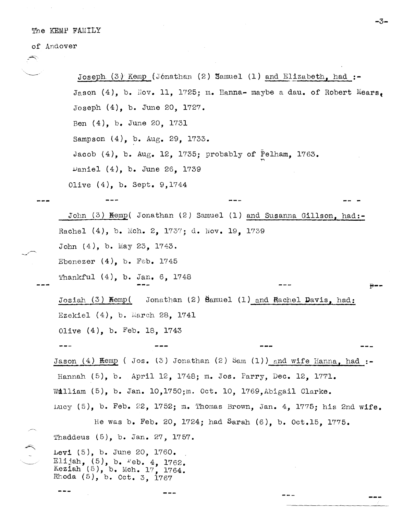## The KEMP FAMILY

## of Andover

---/~

Rhoda (5), b. Oct. 3, 1767

J'oseph (3) Kemp (J6nathan (2) Samuel (1) and Elizabeth, had **:-** Jason  $(4)$ , b. Nov. 11, 1725; m. Hanna- maybe a dau. of Robert Mears. Joseph (4), b. June 20, 1727. Ben (4), b. June 20, 1731 Sampson (4), b. Aug. 29, 1733. Jacob (4), b. Aug. 12, 1735; probably of Pelham, 1763. vanie1 (4), b. June 26, 1739 Olive (4), b. Sept. 9,1744 'r\ John (3) Kemp( Jonathan (2) Samuel (1) and Susanna Gillson, had:-Rachel  $(4)$ , b. Mch. 2, 1737; d. Nov. 19, 1739 John  $(4)$ , b. May 23, 1743. Ebenezer  $(4)$ , b. Feb. 1745 Thankful  $(4)$ , b. Jan. 6, 1748 Josiah (3) Kemp( Jonathan (2) Samuel (1) and Rachel Davis, had: Ezekiel (4), b. Warch 28, 1741 Olive (4), b. Feb. 18, 1743 *r--* Jason  $(4)$  **Kemp** ( Jos.  $(3)$  Jonathan  $(2)$  Sam  $(1)$ ) and wife Hanna, had  $:=$ Hannah (5), b. April 12, 1748; m. Jos. Parry, Dec. 12, 1771. Wa11iam (5), b. Jan. 10,1750;m. Oct. 10, 1769,Abigail Clarke. LUCY (5), b. Feb. 22, 1752; m. Thomas Brown, Jan. 4, 1775; his 2nd wife. He was b. Feb. 20, 1724; had Sarah (6), b. Oct.15, 1775. 'fhaddeus (5), b. Jan. 27, 1757. Levi (5), b. June 20, 1760. Elijah,  $(5)$ , b.  $Peb. 4$ , 1762. Keziah  $(5)$ , b. Mch. 17, 1764.

**-3-**